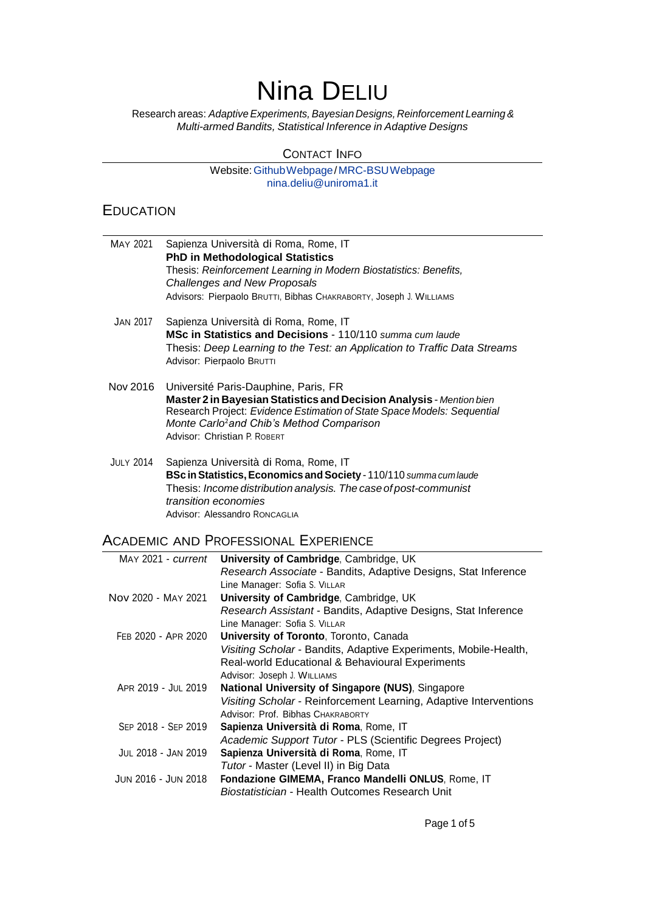# Nina DELIU

Research areas: *AdaptiveExperiments,Bayesian Designs, Reinforcement Learning& Multi-armed Bandits, Statistical Inference in Adaptive Designs*

#### CONTACT INFO

#### Website[:GithubWebpage/](https://nina-dl.github.io/)[MRC-BSUWebpage](https://www.mrc-bsu.cam.ac.uk/people/in-alphabetical-order/a-to-g/nina-deliu/) [nina.deliu@uniroma1.it](mailto:nina.deliu@uniroma1.it)

## EDUCATION

| MAY 2021         | Sapienza Università di Roma, Rome, IT<br><b>PhD in Methodological Statistics</b><br>Thesis: Reinforcement Learning in Modern Biostatistics: Benefits,<br><b>Challenges and New Proposals</b>                                                                                     |
|------------------|----------------------------------------------------------------------------------------------------------------------------------------------------------------------------------------------------------------------------------------------------------------------------------|
|                  | Advisors: Pierpaolo BRUTTI, Bibhas CHAKRABORTY, Joseph J. WILLIAMS                                                                                                                                                                                                               |
| <b>JAN 2017</b>  | Sapienza Università di Roma, Rome, IT<br>MSc in Statistics and Decisions - 110/110 summa cum laude<br>Thesis: Deep Learning to the Test: an Application to Traffic Data Streams<br>Advisor: Pierpaolo BRUTTI                                                                     |
| Nov 2016         | Université Paris-Dauphine, Paris, FR<br>Master 2 in Bayesian Statistics and Decision Analysis - Mention bien<br>Research Project: Evidence Estimation of State Space Models: Sequential<br>Monte Carlo <sup>2</sup> and Chib's Method Comparison<br>Advisor: Christian P. ROBERT |
| <b>JULY 2014</b> | Sapienza Università di Roma, Rome, IT<br>BSc in Statistics, Economics and Society - 110/110 summa cum laude<br>Thesis: Income distribution analysis. The case of post-communist<br>transition economies<br>Advisor: Alessandro RONCAGLIA                                         |

## ACADEMIC AND PROFESSIONAL EXPERIENCE

| MAY 2021 - current  | University of Cambridge, Cambridge, UK                            |
|---------------------|-------------------------------------------------------------------|
|                     | Research Associate - Bandits, Adaptive Designs, Stat Inference    |
|                     | Line Manager: Sofia S. VILLAR                                     |
| Nov 2020 - MAY 2021 | University of Cambridge, Cambridge, UK                            |
|                     | Research Assistant - Bandits, Adaptive Designs, Stat Inference    |
|                     | Line Manager: Sofia S. VILLAR                                     |
| FEB 2020 - APR 2020 | University of Toronto, Toronto, Canada                            |
|                     | Visiting Scholar - Bandits, Adaptive Experiments, Mobile-Health,  |
|                     | Real-world Educational & Behavioural Experiments                  |
|                     | Advisor: Joseph J. WILLIAMS                                       |
| APR 2019 - JUL 2019 | National University of Singapore (NUS), Singapore                 |
|                     | Visiting Scholar - Reinforcement Learning, Adaptive Interventions |
|                     | Advisor: Prof. Bibhas CHAKRABORTY                                 |
| SEP 2018 - SEP 2019 | Sapienza Università di Roma, Rome, IT                             |
|                     | Academic Support Tutor - PLS (Scientific Degrees Project)         |
| JUL 2018 - JAN 2019 | Sapienza Università di Roma, Rome, IT                             |
|                     | Tutor - Master (Level II) in Big Data                             |
| JUN 2016 - JUN 2018 | Fondazione GIMEMA, Franco Mandelli ONLUS, Rome, IT                |
|                     | Biostatistician - Health Outcomes Research Unit                   |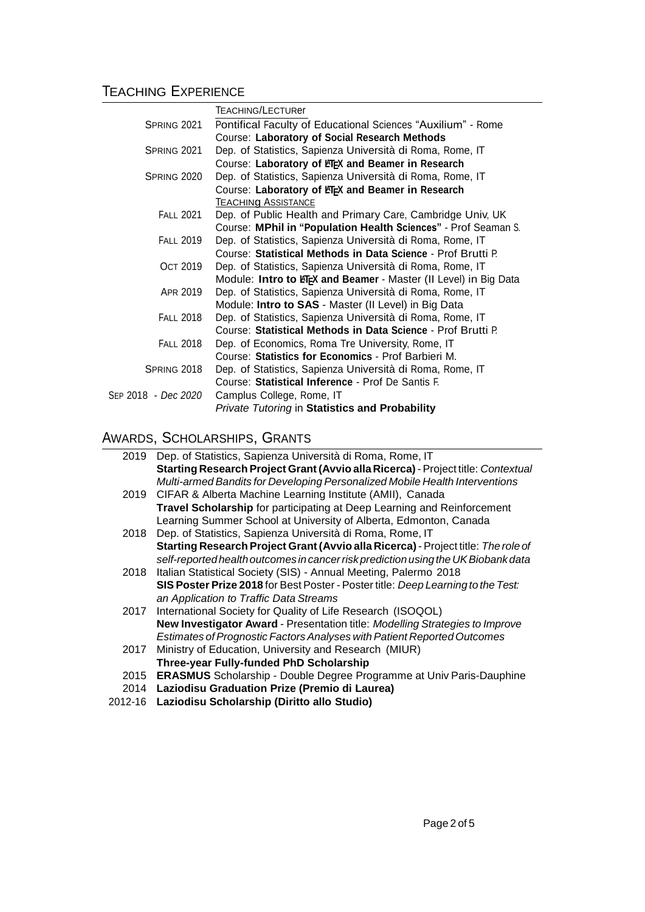## TEACHING EXPERIENCE

|                            | <b>TEACHING/LECTURer</b>                                         |
|----------------------------|------------------------------------------------------------------|
| SPRING 2021                | Pontifical Faculty of Educational Sciences "Auxilium" - Rome     |
|                            | Course: Laboratory of Social Research Methods                    |
| SPRING 2021                | Dep. of Statistics, Sapienza Università di Roma, Rome, IT        |
|                            | Course: Laboratory of LTEX and Beamer in Research                |
| SPRING 2020                | Dep. of Statistics, Sapienza Università di Roma, Rome, IT        |
|                            | Course: Laboratory of LTEX and Beamer in Research                |
|                            | <b>TEACHING ASSISTANCE</b>                                       |
| <b>FALL 2021</b>           | Dep. of Public Health and Primary Care, Cambridge Univ, UK       |
|                            | Course: MPhil in "Population Health Sciences" - Prof Seaman S.   |
| <b>FALL 2019</b>           | Dep. of Statistics, Sapienza Università di Roma, Rome, IT        |
|                            | Course: Statistical Methods in Data Science - Prof Brutti P.     |
| <b>OCT 2019</b>            | Dep. of Statistics, Sapienza Università di Roma, Rome, IT        |
|                            | Module: Intro to KFEX and Beamer - Master (II Level) in Big Data |
| APR 2019                   | Dep. of Statistics, Sapienza Università di Roma, Rome, IT        |
|                            | Module: Intro to SAS - Master (II Level) in Big Data             |
| <b>FALL 2018</b>           | Dep. of Statistics, Sapienza Università di Roma, Rome, IT        |
|                            | Course: Statistical Methods in Data Science - Prof Brutti P.     |
| <b>FALL 2018</b>           | Dep. of Economics, Roma Tre University, Rome, IT                 |
|                            | Course: Statistics for Economics - Prof Barbieri M.              |
| SPRING 2018                | Dep. of Statistics, Sapienza Università di Roma, Rome, IT        |
|                            | Course: Statistical Inference - Prof De Santis F.                |
| SEP 2018 - <i>Dec 2020</i> | Camplus College, Rome, IT                                        |
|                            | Private Tutoring in Statistics and Probability                   |

## AWARDS, SCHOLARSHIPS, GRANTS

|         | 2019 Dep. of Statistics, Sapienza Università di Roma, Rome, IT                    |
|---------|-----------------------------------------------------------------------------------|
|         | Starting Research Project Grant (Avvio alla Ricerca) - Project title: Contextual  |
|         | Multi-armed Bandits for Developing Personalized Mobile Health Interventions       |
| 2019    | CIFAR & Alberta Machine Learning Institute (AMII), Canada                         |
|         | Travel Scholarship for participating at Deep Learning and Reinforcement           |
|         | Learning Summer School at University of Alberta, Edmonton, Canada                 |
| 2018    | Dep. of Statistics, Sapienza Università di Roma, Rome, IT                         |
|         | Starting Research Project Grant (Avvio alla Ricerca) - Project title: The role of |
|         | self-reported health outcomes in cancer risk prediction using the UK Biobank data |
| 2018    | Italian Statistical Society (SIS) - Annual Meeting, Palermo 2018                  |
|         | SIS Poster Prize 2018 for Best Poster - Poster title: Deep Learning to the Test:  |
|         | an Application to Traffic Data Streams                                            |
| 2017    | International Society for Quality of Life Research (ISOQOL)                       |
|         | New Investigator Award - Presentation title: Modelling Strategies to Improve      |
|         | Estimates of Prognostic Factors Analyses with Patient Reported Outcomes           |
| 2017    | Ministry of Education, University and Research (MIUR)                             |
|         | Three-year Fully-funded PhD Scholarship                                           |
| 2015    | <b>ERASMUS</b> Scholarship - Double Degree Programme at Univ Paris-Dauphine       |
| 2014    | Laziodisu Graduation Prize (Premio di Laurea)                                     |
| 2012-16 | Laziodisu Scholarship (Diritto allo Studio)                                       |
|         |                                                                                   |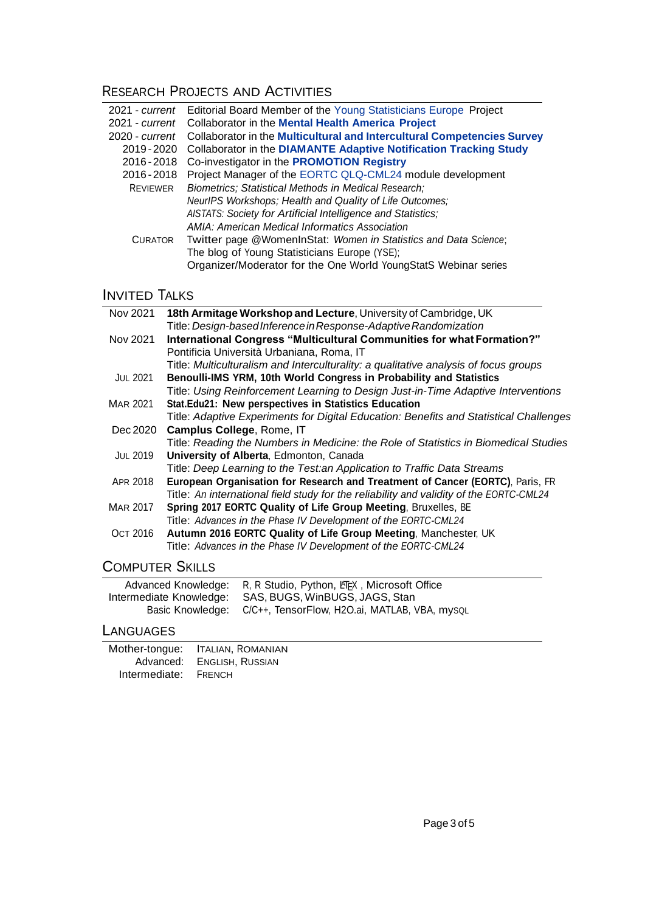## RESEARCH PROJECTS AND ACTIVITIES

| 2021 - current     | Editorial Board Member of the Young Statisticians Europe Project         |
|--------------------|--------------------------------------------------------------------------|
| $2021$ - $current$ | <b>Collaborator in the Mental Health America Project</b>                 |
| $2020 -$ current   | Collaborator in the Multicultural and Intercultural Competencies Survey  |
| 2019 - 2020        | <b>Collaborator in the DIAMANTE Adaptive Notification Tracking Study</b> |
| 2016-2018          | Co-investigator in the <b>PROMOTION Registry</b>                         |
| 2016-2018          | Project Manager of the EORTC QLQ-CML24 module development                |
| <b>REVIEWER</b>    | Biometrics; Statistical Methods in Medical Research;                     |
|                    | NeurlPS Workshops; Health and Quality of Life Outcomes;                  |
|                    | AISTATS: Society for Artificial Intelligence and Statistics;             |
|                    | AMIA: American Medical Informatics Association                           |
| <b>CURATOR</b>     | Twitter page @WomenInStat: Women in Statistics and Data Science;         |
|                    | The blog of Young Statisticians Europe (YSE);                            |
|                    | Organizer/Moderator for the One World YoungStatS Webinar series          |
|                    |                                                                          |

## **INVITED TALKS**

| Nov 2021               | 18th Armitage Workshop and Lecture, University of Cambridge, UK                         |
|------------------------|-----------------------------------------------------------------------------------------|
|                        | Title: Design-based Inference in Response-Adaptive Randomization                        |
| Nov 2021               | International Congress "Multicultural Communities for what Formation?"                  |
|                        | Pontificia Università Urbaniana, Roma, IT                                               |
|                        | Title: Multiculturalism and Interculturality: a qualitative analysis of focus groups    |
| <b>JUL 2021</b>        | Benoulli-IMS YRM, 10th World Congress in Probability and Statistics                     |
|                        | Title: Using Reinforcement Learning to Design Just-in-Time Adaptive Interventions       |
| <b>MAR 2021</b>        | Stat.Edu21: New perspectives in Statistics Education                                    |
|                        | Title: Adaptive Experiments for Digital Education: Benefits and Statistical Challenges  |
| Dec 2020               | Camplus College, Rome, IT                                                               |
|                        | Title: Reading the Numbers in Medicine: the Role of Statistics in Biomedical Studies    |
| <b>JUL 2019</b>        | University of Alberta, Edmonton, Canada                                                 |
|                        | Title: Deep Learning to the Test: an Application to Traffic Data Streams                |
| APR 2018               | European Organisation for Research and Treatment of Cancer (EORTC), Paris, FR           |
|                        | Title: An international field study for the reliability and validity of the EORTC-CML24 |
| <b>MAR 2017</b>        | Spring 2017 EORTC Quality of Life Group Meeting, Bruxelles, BE                          |
|                        | Title: Advances in the Phase IV Development of the EORTC-CML24                          |
| <b>OCT 2016</b>        | Autumn 2016 EORTC Quality of Life Group Meeting, Manchester, UK                         |
|                        | Title: Advances in the Phase IV Development of the EORTC-CML24                          |
| <b>COMPUTER SKILLS</b> |                                                                                         |

|                         | Advanced Knowledge: R, R Studio, Python, LEEX, Microsoft Office |
|-------------------------|-----------------------------------------------------------------|
| Intermediate Knowledge: | SAS, BUGS, WinBUGS, JAGS, Stan                                  |
|                         | Basic Knowledge: C/C++, TensorFlow, H2O.ai, MATLAB, VBA, mysoL  |

## **LANGUAGES**

| Mother-tongue: | <b>ITALIAN, ROMANIAN</b> |
|----------------|--------------------------|
| Advanced:      | ENGLISH, RUSSIAN         |
| Intermediate:  | FRENCH                   |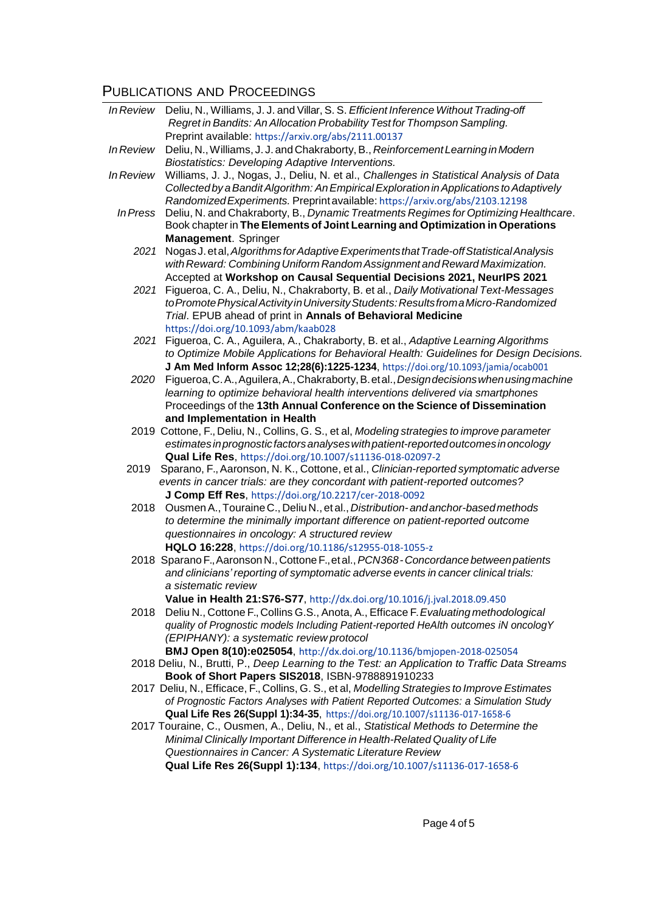# **PUBLICATIONS AND PROCEEDINGS**<br>*In Review* Deliu, N., Williams, J. J. and Villar

| In Review        | Deliu, N., Williams, J. J. and Villar, S. S. Efficient Inference Without Trading-off                      |
|------------------|-----------------------------------------------------------------------------------------------------------|
|                  | Regret in Bandits: An Allocation Probability Test for Thompson Sampling.                                  |
|                  | Preprint available: https://arxiv.org/abs/2111.00137                                                      |
| <b>In Review</b> | Deliu, N., Williams, J. J. and Chakraborty, B., Reinforcement Learning in Modern                          |
|                  | Biostatistics: Developing Adaptive Interventions.                                                         |
| In Review        | Williams, J. J., Nogas, J., Deliu, N. et al., Challenges in Statistical Analysis of Data                  |
|                  | Collected by a Bandit Algorithm: An Empirical Exploration in Applications to Adaptively                   |
|                  | Randomized Experiments. Preprint available: https://arxiv.org/abs/2103.12198                              |
| In Press         | Deliu, N. and Chakraborty, B., Dynamic Treatments Regimes for Optimizing Healthcare.                      |
|                  | Book chapter in The Elements of Joint Learning and Optimization in Operations                             |
|                  | Management. Springer                                                                                      |
| 2021             | Nogas J. et al, Algorithms for Adaptive Experiments that Trade-off Statistical Analysis                   |
|                  | with Reward: Combining Uniform Random Assignment and Reward Maximization.                                 |
|                  | Accepted at Workshop on Causal Sequential Decisions 2021, NeurlPS 2021                                    |
| 2021             | Figueroa, C. A., Deliu, N., Chakraborty, B. et al., Daily Motivational Text-Messages                      |
|                  | to Promote Physical Activity in University Students: Results from a Micro-Randomized                      |
|                  | Trial. EPUB ahead of print in Annals of Behavioral Medicine                                               |
|                  | https://doi.org/10.1093/abm/kaab028                                                                       |
| 2021             | Figueroa, C. A., Aguilera, A., Chakraborty, B. et al., Adaptive Learning Algorithms                       |
|                  | to Optimize Mobile Applications for Behavioral Health: Guidelines for Design Decisions.                   |
|                  | J Am Med Inform Assoc 12;28(6):1225-1234, https://doi.org/10.1093/jamia/ocab001                           |
| 2020             | Figueroa, C. A., Aguilera, A., Chakraborty, B. et al., Design decisions when using machine                |
|                  | learning to optimize behavioral health interventions delivered via smartphones                            |
|                  | Proceedings of the 13th Annual Conference on the Science of Dissemination<br>and Implementation in Health |
|                  | 2019 Cottone, F., Deliu, N., Collins, G. S., et al, Modeling strategies to improve parameter              |
|                  | estimates in prognostic factors analyses with patient-reported outcomes in oncology                       |
|                  | Qual Life Res, https://doi.org/10.1007/s11136-018-02097-2                                                 |
| 2019             | Sparano, F., Aaronson, N. K., Cottone, et al., Clinician-reported symptomatic adverse                     |
|                  | events in cancer trials: are they concordant with patient-reported outcomes?                              |
|                  | J Comp Eff Res, https://doi.org/10.2217/cer-2018-0092                                                     |
| 2018             | Ousmen A., Touraine C., Deliu N., et al., Distribution-and anchor-based methods                           |
|                  | to determine the minimally important difference on patient-reported outcome                               |
|                  | questionnaires in oncology: A structured review                                                           |
|                  | HQLO 16:228, https://doi.org/10.1186/s12955-018-1055-z                                                    |
|                  | 2018 Sparano F., Aaronson N., Cottone F., et al., PCN368 - Concordance between patients                   |
|                  | and clinicians' reporting of symptomatic adverse events in cancer clinical trials:                        |
|                  | a sistematic review                                                                                       |
|                  | Value in Health 21:S76-S77, http://dx.doi.org/10.1016/j.jval.2018.09.450                                  |
| 2018             | Deliu N., Cottone F., Collins G.S., Anota, A., Efficace F. Evaluating methodological                      |
|                  | quality of Prognostic models Including Patient-reported HeAlth outcomes iN oncologY                       |
|                  | (EPIPHANY): a systematic review protocol                                                                  |
|                  | BMJ Open 8(10):e025054, http://dx.doi.org/10.1136/bmjopen-2018-025054                                     |
|                  | 2018 Deliu, N., Brutti, P., Deep Learning to the Test: an Application to Traffic Data Streams             |
|                  | Book of Short Papers SIS2018, ISBN-9788891910233                                                          |
|                  | 2017 Deliu, N., Efficace, F., Collins, G. S., et al, Modelling Strategies to Improve Estimates            |
|                  | of Prognostic Factors Analyses with Patient Reported Outcomes: a Simulation Study                         |
|                  | Qual Life Res 26(Suppl 1):34-35, https://doi.org/10.1007/s11136-017-1658-6                                |
|                  | 2017 Touraine, C., Ousmen, A., Deliu, N., et al., Statistical Methods to Determine the                    |
|                  | Minimal Clinically Important Difference in Health-Related Quality of Life                                 |
|                  | Questionnaires in Cancer: A Systematic Literature Review                                                  |
|                  | Qual Life Res 26(Suppl 1):134, https://doi.org/10.1007/s11136-017-1658-6                                  |
|                  |                                                                                                           |
|                  |                                                                                                           |
|                  |                                                                                                           |